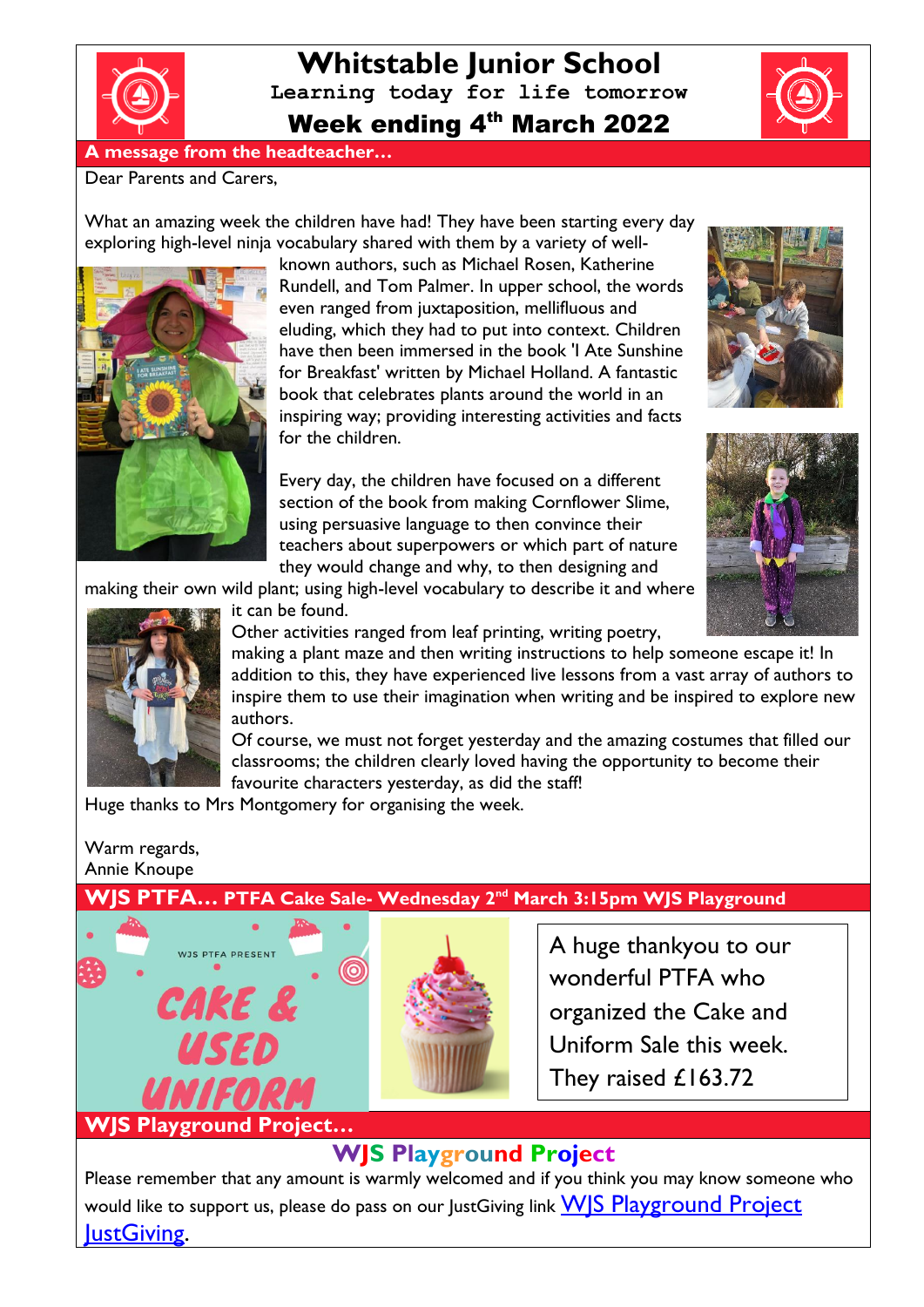

**Whitstable Junior School Learning today for life tomorrow** Week ending 4th March 2022

# **A message from the headteacher…**

#### Dear Parents and Carers,

What an amazing week the children have had! They have been starting every day exploring high-level ninja vocabulary shared with them by a variety of well-



known authors, such as Michael Rosen, Katherine Rundell, and Tom Palmer. In upper school, the words even ranged from juxtaposition, mellifluous and eluding, which they had to put into context. Children have then been immersed in the book 'I Ate Sunshine for Breakfast' written by Michael Holland. A fantastic book that celebrates plants around the world in an inspiring way; providing interesting activities and facts for the children.

Every day, the children have focused on a different section of the book from making Cornflower Slime, using persuasive language to then convince their teachers about superpowers or which part of nature they would change and why, to then designing and





making their own wild plant; using high-level vocabulary to describe it and where



it can be found.

Other activities ranged from leaf printing, writing poetry,

making a plant maze and then writing instructions to help someone escape it! In addition to this, they have experienced live lessons from a vast array of authors to inspire them to use their imagination when writing and be inspired to explore new authors.

Of course, we must not forget yesterday and the amazing costumes that filled our classrooms; the children clearly loved having the opportunity to become their favourite characters yesterday, as did the staff!

Huge thanks to Mrs Montgomery for organising the week.

## Warm regards, Annie Knoupe

**WJS Playground Project…**

WJS PTFA PRESENT

CAKE &

## **WJS PTFA… PTFA Cake Sale- Wednesday 2nd March 3:15pm WJS Playground**



A huge thankyou to our wonderful PTFA who organized the Cake and Uniform Sale this week. They raised £163.72

# **WJS Playground Project**

Please remember that any amount is warmly welcomed and if you think you may know someone who would like to support us, please do pass on our JustGiving link WS Playground Project **IustGiving.** 

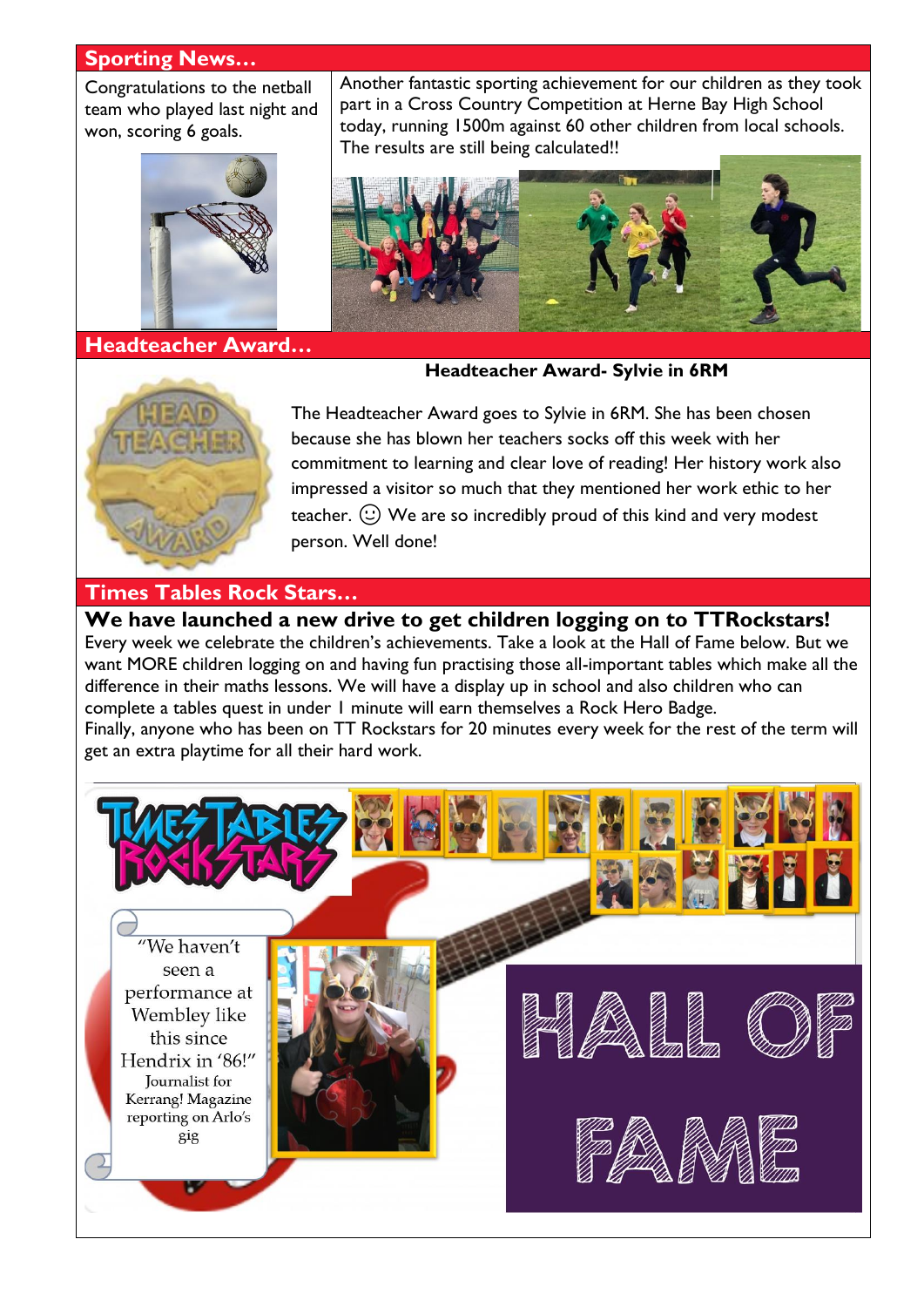#### **Sporting News…**

Congratulations to the netball team who played last night and won, scoring 6 goals.



**Headteacher Award…**

Another fantastic sporting achievement for our children as they took part in a Cross Country Competition at Herne Bay High School today, running 1500m against 60 other children from local schools. The results are still being calculated!!



#### **Headteacher Award- Sylvie in 6RM**



The Headteacher Award goes to Sylvie in 6RM. She has been chosen because she has blown her teachers socks off this week with her commitment to learning and clear love of reading! Her history work also impressed a visitor so much that they mentioned her work ethic to her teacher.  $\circled{c}$ ) We are so incredibly proud of this kind and very modest person. Well done!

## **Times Tables Rock Stars…**

**We have launched a new drive to get children logging on to TTRockstars!**  Every week we celebrate the children's achievements. Take a look at the Hall of Fame below. But we want MORE children logging on and having fun practising those all-important tables which make all the difference in their maths lessons. We will have a display up in school and also children who can complete a tables quest in under 1 minute will earn themselves a Rock Hero Badge. Finally, anyone who has been on TT Rockstars for 20 minutes every week for the rest of the term will get an extra playtime for all their hard work.